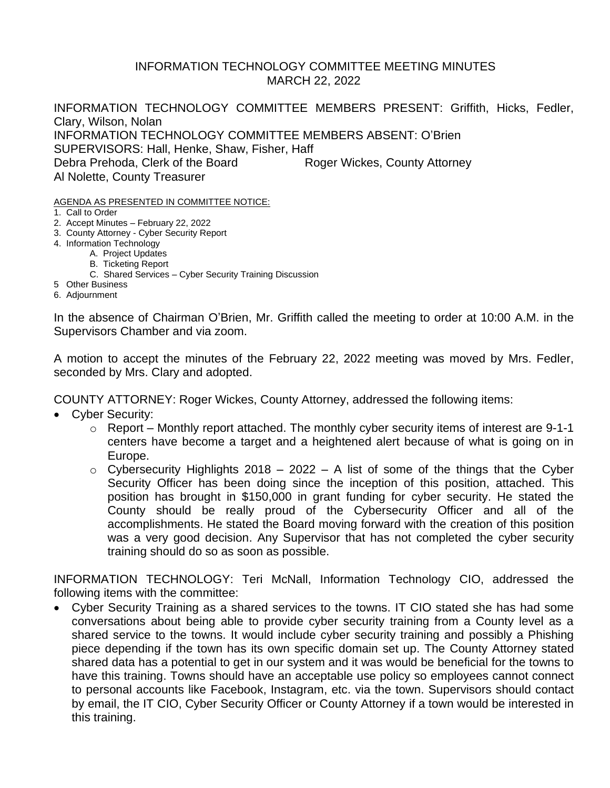### INFORMATION TECHNOLOGY COMMITTEE MEETING MINUTES MARCH 22, 2022

INFORMATION TECHNOLOGY COMMITTEE MEMBERS PRESENT: Griffith, Hicks, Fedler, Clary, Wilson, Nolan INFORMATION TECHNOLOGY COMMITTEE MEMBERS ABSENT: O'Brien SUPERVISORS: Hall, Henke, Shaw, Fisher, Haff Debra Prehoda, Clerk of the Board Roger Wickes, County Attorney Al Nolette, County Treasurer

AGENDA AS PRESENTED IN COMMITTEE NOTICE:

- 1. Call to Order
- 2. Accept Minutes February 22, 2022
- 3. County Attorney Cyber Security Report
- 4. Information Technology
	- A. Project Updates
		- B. Ticketing Report
		- C. Shared Services Cyber Security Training Discussion
- 5 Other Business
- 6. Adjournment

In the absence of Chairman O'Brien, Mr. Griffith called the meeting to order at 10:00 A.M. in the Supervisors Chamber and via zoom.

A motion to accept the minutes of the February 22, 2022 meeting was moved by Mrs. Fedler, seconded by Mrs. Clary and adopted.

COUNTY ATTORNEY: Roger Wickes, County Attorney, addressed the following items:

- Cyber Security:
	- $\circ$  Report Monthly report attached. The monthly cyber security items of interest are 9-1-1 centers have become a target and a heightened alert because of what is going on in Europe.
	- $\circ$  Cybersecurity Highlights 2018 2022 A list of some of the things that the Cyber Security Officer has been doing since the inception of this position, attached. This position has brought in \$150,000 in grant funding for cyber security. He stated the County should be really proud of the Cybersecurity Officer and all of the accomplishments. He stated the Board moving forward with the creation of this position was a very good decision. Any Supervisor that has not completed the cyber security training should do so as soon as possible.

INFORMATION TECHNOLOGY: Teri McNall, Information Technology CIO, addressed the following items with the committee:

• Cyber Security Training as a shared services to the towns. IT CIO stated she has had some conversations about being able to provide cyber security training from a County level as a shared service to the towns. It would include cyber security training and possibly a Phishing piece depending if the town has its own specific domain set up. The County Attorney stated shared data has a potential to get in our system and it was would be beneficial for the towns to have this training. Towns should have an acceptable use policy so employees cannot connect to personal accounts like Facebook, Instagram, etc. via the town. Supervisors should contact by email, the IT CIO, Cyber Security Officer or County Attorney if a town would be interested in this training.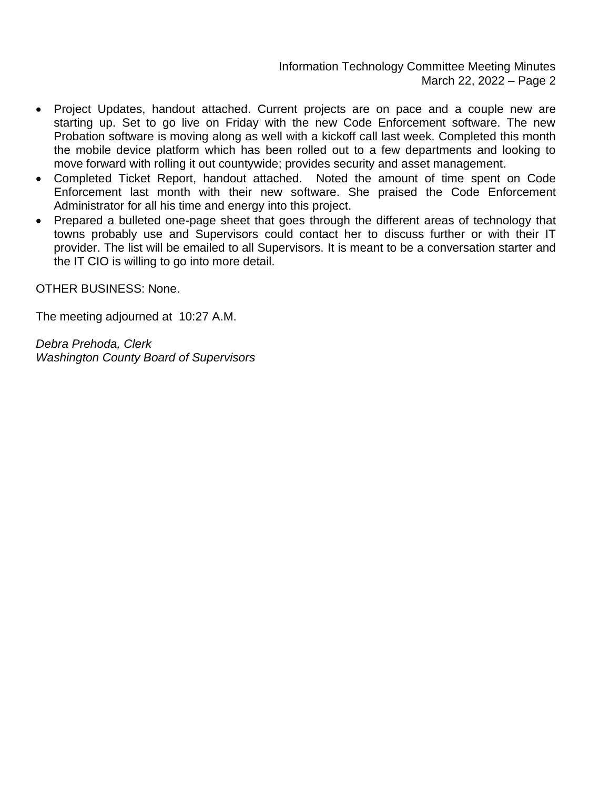- Project Updates, handout attached. Current projects are on pace and a couple new are starting up. Set to go live on Friday with the new Code Enforcement software. The new Probation software is moving along as well with a kickoff call last week. Completed this month the mobile device platform which has been rolled out to a few departments and looking to move forward with rolling it out countywide; provides security and asset management.
- Completed Ticket Report, handout attached. Noted the amount of time spent on Code Enforcement last month with their new software. She praised the Code Enforcement Administrator for all his time and energy into this project.
- Prepared a bulleted one-page sheet that goes through the different areas of technology that towns probably use and Supervisors could contact her to discuss further or with their IT provider. The list will be emailed to all Supervisors. It is meant to be a conversation starter and the IT CIO is willing to go into more detail.

OTHER BUSINESS: None.

The meeting adjourned at 10:27 A.M.

*Debra Prehoda, Clerk Washington County Board of Supervisors*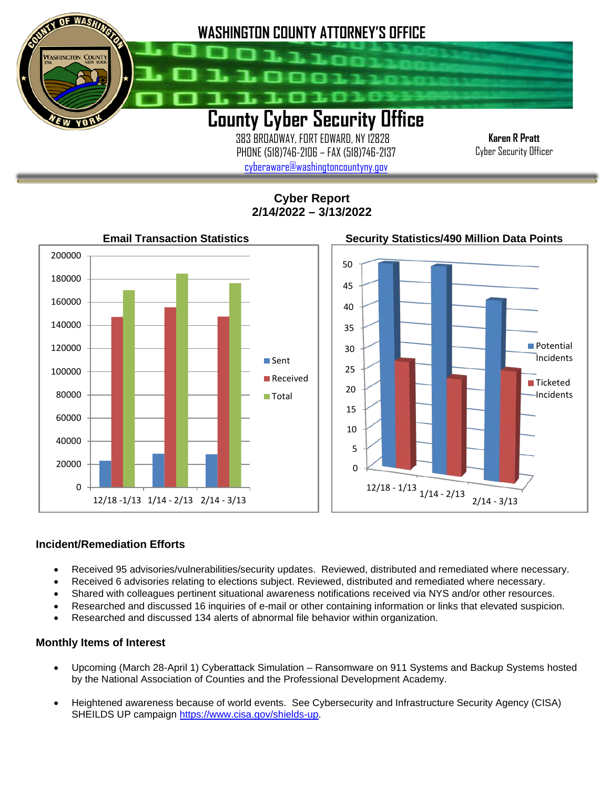

 383 BROADWAY, FORT EDWARD, NY 12828 PHONE (518)746-2106 – FAX (518)746-2137 [cyberaware@washingtoncountyny.gov](mailto:cyberaware@washingtoncountyny.gov)

**Karen R Pratt** Cyber Security Officer

**Cyber Report 2/14/2022 – 3/13/2022**



#### **Incident/Remediation Efforts**

İ

- Received 95 advisories/vulnerabilities/security updates. Reviewed, distributed and remediated where necessary.
- Received 6 advisories relating to elections subject. Reviewed, distributed and remediated where necessary.
- Shared with colleagues pertinent situational awareness notifications received via NYS and/or other resources.
- Researched and discussed 16 inquiries of e-mail or other containing information or links that elevated suspicion.
- Researched and discussed 134 alerts of abnormal file behavior within organization.

#### **Monthly Items of Interest**

- Upcoming (March 28-April 1) Cyberattack Simulation Ransomware on 911 Systems and Backup Systems hosted by the National Association of Counties and the Professional Development Academy.
- Heightened awareness because of world events. See Cybersecurity and Infrastructure Security Agency (CISA) SHEILDS UP campaign [https://www.cisa.gov/shields-up.](https://www.cisa.gov/shields-upH)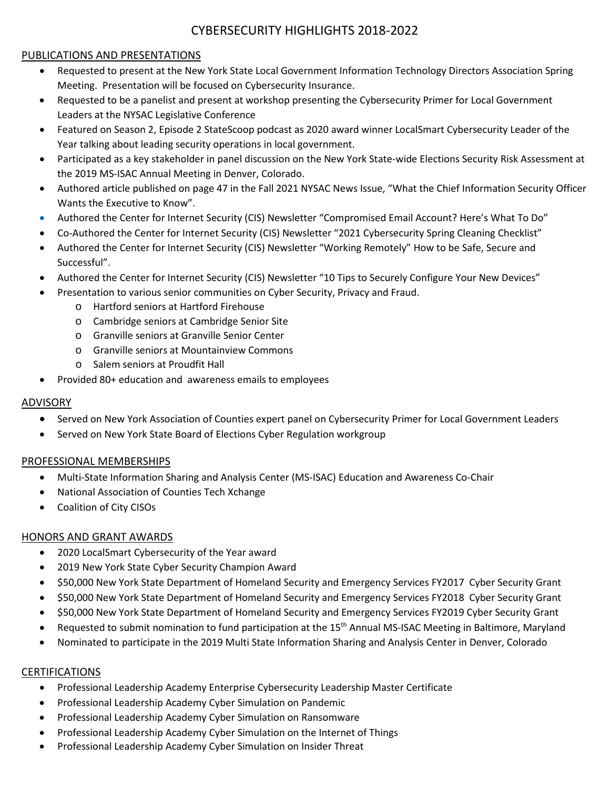## CYBERSECURITY HIGHLIGHTS 2018-2022

## PUBLICATIONS AND PRESENTATIONS

- Requested to present at the New York State Local Government Information Technology Directors Association Spring Meeting. Presentation will be focused on Cybersecurity Insurance.
- Requested to be a panelist and present at workshop presenting the Cybersecurity Primer for Local Government Leaders at the NYSAC Legislative Conference
- Featured on Season 2, Episode 2 StateScoop podcast as 2020 award winner LocalSmart Cybersecurity Leader of the Year talking about leading security operations in local government.
- Participated as a key stakeholder in panel discussion on the New York State-wide Elections Security Risk Assessment at the 2019 MS-ISAC Annual Meeting in Denver, Colorado.
- Authored article published on page 47 in the Fall 2021 NYSAC News Issue, "What the Chief Information Security Officer Wants the Executive to Know".
- Authored the Center for Internet Security (CIS) Newsletter "Compromised Email Account? Here's What To Do"
- Co-Authored the Center for Internet Security (CIS) Newsletter "2021 Cybersecurity Spring Cleaning Checklist"
- Authored the Center for Internet Security (CIS) Newsletter "Working Remotely" How to be Safe, Secure and Successful".
- Authored the Center for Internet Security (CIS) Newsletter "10 Tips to Securely Configure Your New Devices"
- Presentation to various senior communities on Cyber Security, Privacy and Fraud.
	- o Hartford seniors at Hartford Firehouse
	- o Cambridge seniors at Cambridge Senior Site
	- o Granville seniors at Granville Senior Center
	- o Granville seniors at Mountainview Commons
	- o Salem seniors at Proudfit Hall
- Provided 80+ education and awareness emails to employees

# ADVISORY

- Served on New York Association of Counties expert panel on Cybersecurity Primer for Local Government Leaders
- Served on New York State Board of Elections Cyber Regulation workgroup

# PROFESSIONAL MEMBERSHIPS

- Multi-State Information Sharing and Analysis Center (MS-ISAC) Education and Awareness Co-Chair
- National Association of Counties Tech Xchange
- Coalition of City CISOs

# HONORS AND GRANT AWARDS

- 2020 LocalSmart Cybersecurity of the Year award
- 2019 New York State Cyber Security Champion Award
- \$50,000 New York State Department of Homeland Security and Emergency Services FY2017 Cyber Security Grant
- \$50,000 New York State Department of Homeland Security and Emergency Services FY2018 Cyber Security Grant
- \$50,000 New York State Department of Homeland Security and Emergency Services FY2019 Cyber Security Grant
- Requested to submit nomination to fund participation at the 15<sup>th</sup> Annual MS-ISAC Meeting in Baltimore, Maryland
- Nominated to participate in the 2019 Multi State Information Sharing and Analysis Center in Denver, Colorado

# **CERTIFICATIONS**

- Professional Leadership Academy Enterprise Cybersecurity Leadership Master Certificate
- Professional Leadership Academy Cyber Simulation on Pandemic
- Professional Leadership Academy Cyber Simulation on Ransomware
- Professional Leadership Academy Cyber Simulation on the Internet of Things
- Professional Leadership Academy Cyber Simulation on Insider Threat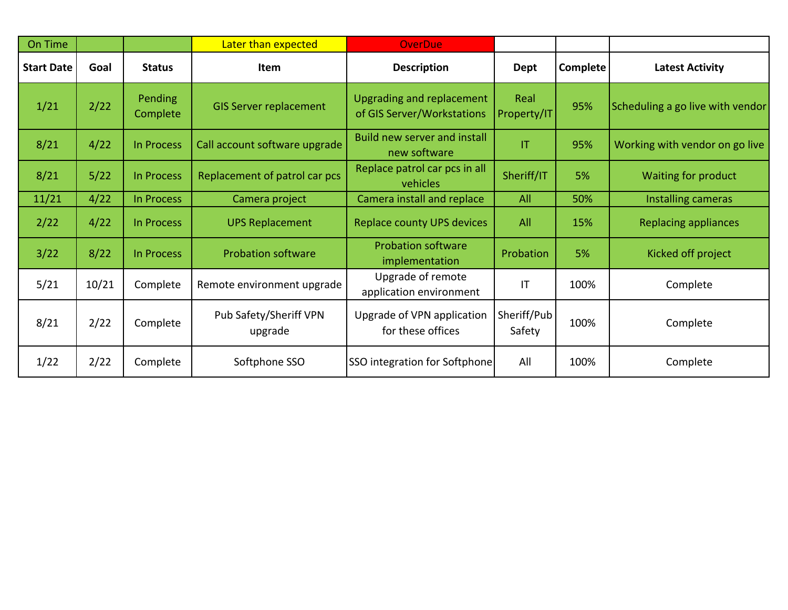| On Time           |       |                            | Later than expected               | <b>OverDue</b>                                                 |                       |                 |                                  |
|-------------------|-------|----------------------------|-----------------------------------|----------------------------------------------------------------|-----------------------|-----------------|----------------------------------|
| <b>Start Date</b> | Goal  | <b>Status</b>              | Item                              | <b>Description</b>                                             | Dept                  | <b>Complete</b> | <b>Latest Activity</b>           |
| 1/21              | 2/22  | <b>Pending</b><br>Complete | <b>GIS Server replacement</b>     | <b>Upgrading and replacement</b><br>of GIS Server/Workstations | Real<br>Property/IT   | 95%             | Scheduling a go live with vendor |
| 8/21              | 4/22  | In Process                 | Call account software upgrade     | Build new server and install<br>new software                   | T                     | 95%             | Working with vendor on go live   |
| 8/21              | 5/22  | <b>In Process</b>          | Replacement of patrol car pcs     | Replace patrol car pcs in all<br>vehicles                      | Sheriff/IT            | 5%              | Waiting for product              |
| 11/21             | 4/22  | In Process                 | Camera project                    | Camera install and replace                                     | All                   | 50%             | Installing cameras               |
| 2/22              | 4/22  | In Process                 | <b>UPS Replacement</b>            | <b>Replace county UPS devices</b>                              | All                   | 15%             | <b>Replacing appliances</b>      |
| 3/22              | 8/22  | In Process                 | <b>Probation software</b>         | <b>Probation software</b><br>implementation                    | Probation             | 5%              | Kicked off project               |
| 5/21              | 10/21 | Complete                   | Remote environment upgrade        | Upgrade of remote<br>application environment                   | IT                    | 100%            | Complete                         |
| 8/21              | 2/22  | Complete                   | Pub Safety/Sheriff VPN<br>upgrade | Upgrade of VPN application<br>for these offices                | Sheriff/Pub<br>Safety | 100%            | Complete                         |
| 1/22              | 2/22  | Complete                   | Softphone SSO                     | SSO integration for Softphone                                  | All                   | 100%            | Complete                         |